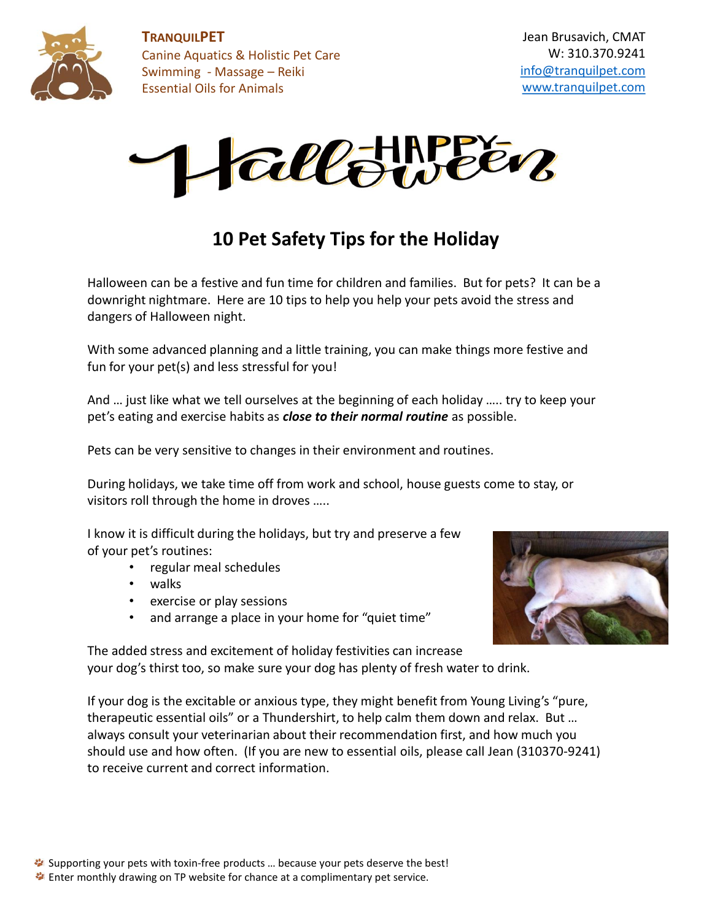

**TRANQUILPET** Canine Aquatics & Holistic Pet Care Swimming - Massage – Reiki Essential Oils for Animals



### **10 Pet Safety Tips for the Holiday**

Halloween can be a festive and fun time for children and families. But for pets? It can be a downright nightmare. Here are 10 tips to help you help your pets avoid the stress and dangers of Halloween night.

With some advanced planning and a little training, you can make things more festive and fun for your pet(s) and less stressful for you!

And … just like what we tell ourselves at the beginning of each holiday ….. try to keep your pet's eating and exercise habits as *close to their normal routine* as possible.

Pets can be very sensitive to changes in their environment and routines.

During holidays, we take time off from work and school, house guests come to stay, or visitors roll through the home in droves …..

I know it is difficult during the holidays, but try and preserve a few of your pet's routines:

- regular meal schedules
- walks
- exercise or play sessions
- and arrange a place in your home for "quiet time"



The added stress and excitement of holiday festivities can increase your dog's thirst too, so make sure your dog has plenty of fresh water to drink.

If your dog is the excitable or anxious type, they might benefit from Young Living's "pure, therapeutic essential oils" or a Thundershirt, to help calm them down and relax. But … always consult your veterinarian about their recommendation first, and how much you should use and how often. (If you are new to essential oils, please call Jean (310370-9241) to receive current and correct information.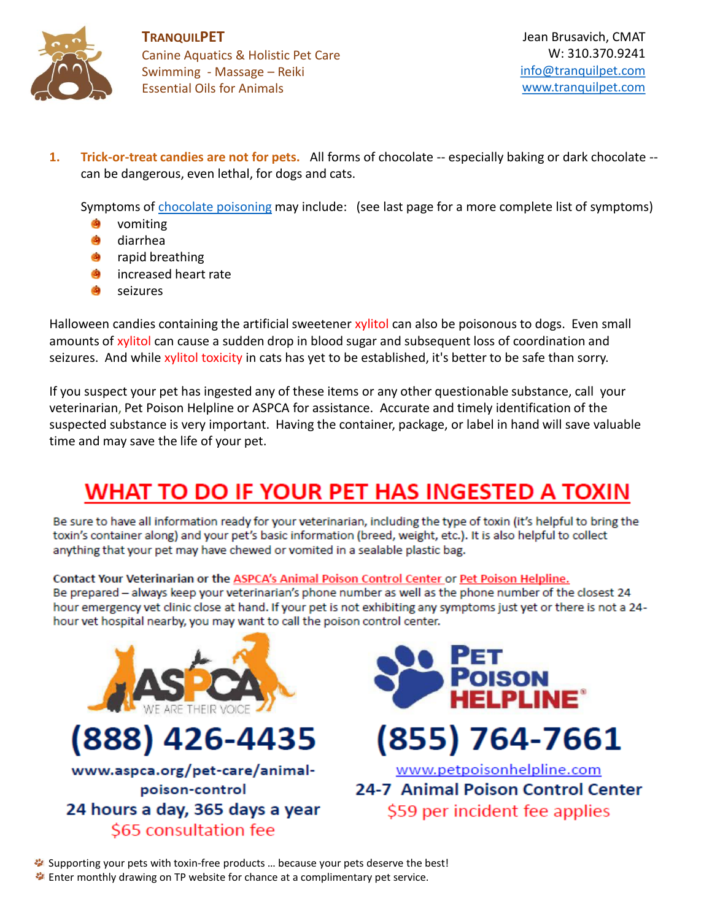

**TRANQUILPET** Canine Aquatics & Holistic Pet Care Swimming - Massage – Reiki Essential Oils for Animals

**1. Trick-or-treat candies are not for pets.** All forms of chocolate -- especially baking or dark chocolate - can be dangerous, even lethal, for dogs and cats.

Symptoms of [chocolate poisoning](http://www.petmd.com/dog/conditions/digestive/c_multi_chocolate_toxicity) may include: (see last page for a more complete list of symptoms)

- vomiting
- Ø. diarrhea
- rapid breathing
- increased heart rate
- seizures

Halloween candies containing the artificial sweetener xylitol can also be poisonous to dogs. Even small amounts of xylitol can cause a sudden drop in blood sugar and subsequent loss of coordination and seizures. And while xylitol toxicity in cats has yet to be established, it's better to be safe than sorry.

If you suspect your pet has ingested any of these items or any other questionable substance, call your veterinarian, Pet Poison Helpline or ASPCA for assistance. Accurate and timely identification of the suspected substance is very important. Having the container, package, or label in hand will save valuable time and may save the life of your pet.

# WHAT TO DO IF YOUR PET HAS INGESTED A TOXIN

Be sure to have all information ready for your veterinarian, including the type of toxin (it's helpful to bring the toxin's container along) and your pet's basic information (breed, weight, etc.). It is also helpful to collect anything that your pet may have chewed or vomited in a sealable plastic bag.

Contact Your Veterinarian or the ASPCA's Animal Poison Control Center or Pet Poison Helpline.

Be prepared - always keep your veterinarian's phone number as well as the phone number of the closest 24 hour emergency vet clinic close at hand. If your pet is not exhibiting any symptoms just yet or there is not a 24hour vet hospital nearby, you may want to call the poison control center.



Supporting your pets with toxin-free products ... because your pets deserve the best! **Enter monthly drawing on TP website for chance at a complimentary pet service.**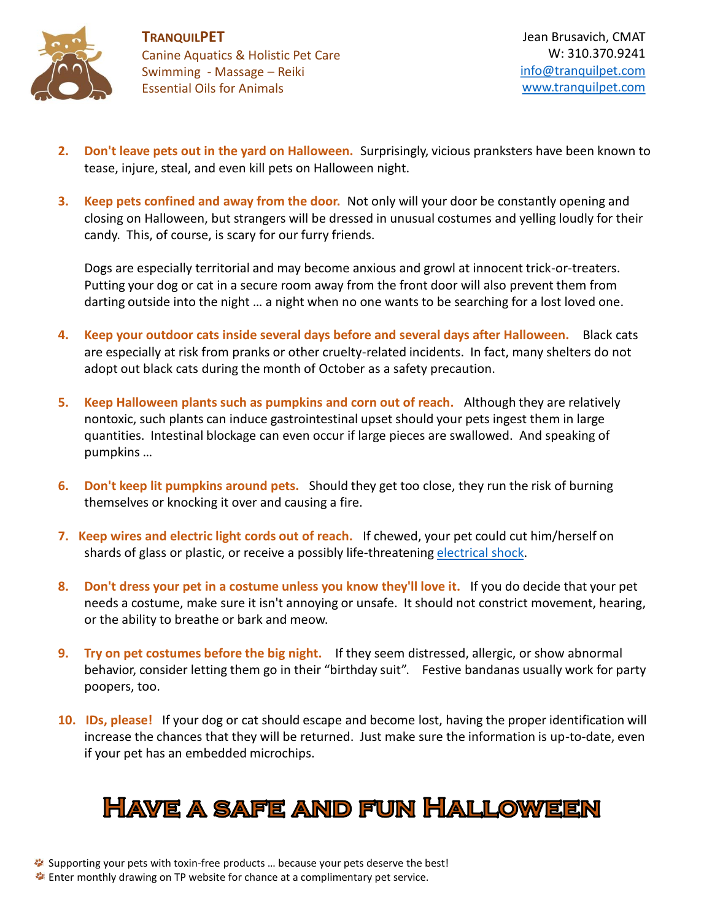

- **2. Don't leave pets out in the yard on Halloween.** Surprisingly, vicious pranksters have been known to tease, injure, steal, and even kill pets on Halloween night.
- **3. Keep pets confined and away from the door.** Not only will your door be constantly opening and closing on Halloween, but strangers will be dressed in unusual costumes and yelling loudly for their candy. This, of course, is scary for our furry friends.

Dogs are especially territorial and may become anxious and growl at innocent trick-or-treaters. Putting your dog or cat in a secure room away from the front door will also prevent them from darting outside into the night … a night when no one wants to be searching for a lost loved one.

- **4. Keep your outdoor cats inside several days before and several days after Halloween.** Black cats are especially at risk from pranks or other cruelty-related incidents. In fact, many shelters do not adopt out black cats during the month of October as a safety precaution.
- **5. Keep Halloween plants such as pumpkins and corn out of reach.** Although they are relatively nontoxic, such plants can induce gastrointestinal upset should your pets ingest them in large quantities. Intestinal blockage can even occur if large pieces are swallowed. And speaking of pumpkins …
- **6. Don't keep lit pumpkins around pets.** Should they get too close, they run the risk of burning themselves or knocking it over and causing a fire.
- **7. Keep wires and electric light cords out of reach.** If chewed, your pet could cut him/herself on shards of glass or plastic, or receive a possibly life-threatening [electrical shock.](http://www.petmd.com/dog/emergency/accidents-injuries/e_dg_electric_shock)
- **8. Don't dress your pet in a costume unless you know they'll love it.** If you do decide that your pet needs a costume, make sure it isn't annoying or unsafe. It should not constrict movement, hearing, or the ability to breathe or bark and meow.
- **9. Try on pet costumes before the big night.** If they seem distressed, allergic, or show abnormal behavior, consider letting them go in their "birthday suit". Festive bandanas usually work for party poopers, too.
- **10. IDs, please!** If your dog or cat should escape and become lost, having the proper identification will increase the chances that they will be returned. Just make sure the information is up-to-date, even if your pet has an embedded microchips.

## **HAVE A SAFE AND FUN HALLOWEEN**

**Enter monthly drawing on TP website for chance at a complimentary pet service.**